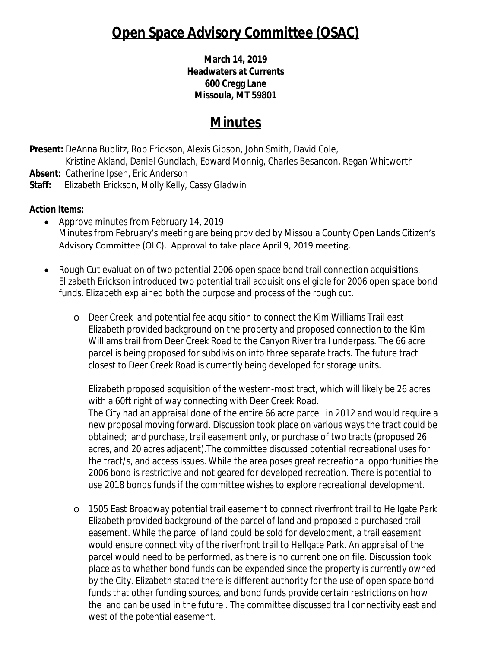# **Open Space Advisory Committee (OSAC)**

**March 14, 2019 Headwaters at Currents 600 Cregg Lane Missoula, MT 59801**

# **Minutes**

**Present:** DeAnna Bublitz, Rob Erickson, Alexis Gibson, John Smith, David Cole,

Kristine Akland, Daniel Gundlach, Edward Monnig, Charles Besancon, Regan Whitworth **Absent:** Catherine Ipsen, Eric Anderson

**Staff:** Elizabeth Erickson, Molly Kelly, Cassy Gladwin

### **Action Items:**

- Approve minutes from February 14, 2019 Minutes from February's meeting are being provided by Missoula County Open Lands Citizen's Advisory Committee (OLC). Approval to take place April 9, 2019 meeting.
- Rough Cut evaluation of two potential 2006 open space bond trail connection acquisitions. Elizabeth Erickson introduced two potential trail acquisitions eligible for 2006 open space bond funds. Elizabeth explained both the purpose and process of the rough cut.
	- o Deer Creek land potential fee acquisition to connect the Kim Williams Trail east Elizabeth provided background on the property and proposed connection to the Kim Williams trail from Deer Creek Road to the Canyon River trail underpass. The 66 acre parcel is being proposed for subdivision into three separate tracts. The future tract closest to Deer Creek Road is currently being developed for storage units.

Elizabeth proposed acquisition of the western-most tract, which will likely be 26 acres with a 60ft right of way connecting with Deer Creek Road.

The City had an appraisal done of the entire 66 acre parcel in 2012 and would require a new proposal moving forward. Discussion took place on various ways the tract could be obtained; land purchase, trail easement only, or purchase of two tracts (proposed 26 acres, and 20 acres adjacent).The committee discussed potential recreational uses for the tract/s, and access issues. While the area poses great recreational opportunities the 2006 bond is restrictive and not geared for developed recreation. There is potential to use 2018 bonds funds if the committee wishes to explore recreational development.

o 1505 East Broadway potential trail easement to connect riverfront trail to Hellgate Park Elizabeth provided background of the parcel of land and proposed a purchased trail easement. While the parcel of land could be sold for development, a trail easement would ensure connectivity of the riverfront trail to Hellgate Park. An appraisal of the parcel would need to be performed, as there is no current one on file. Discussion took place as to whether bond funds can be expended since the property is currently owned by the City. Elizabeth stated there is different authority for the use of open space bond funds that other funding sources, and bond funds provide certain restrictions on how the land can be used in the future . The committee discussed trail connectivity east and west of the potential easement.